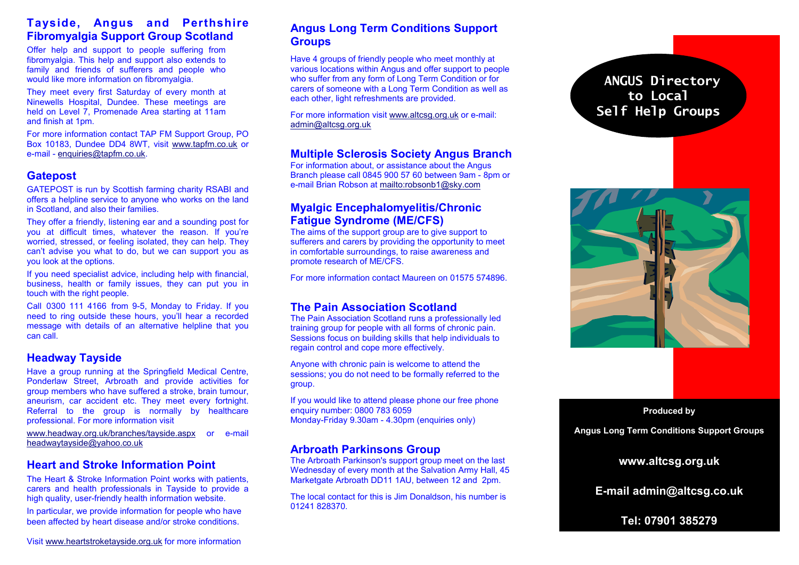### **Tayside, Angus and Perthshire Fibromyalgia Support Group Scotland**

Offer help and support to people suffering from fibromyalgia. This help and support also extends to family and friends of sufferers and people who would like more information on fibromyalgia.

They meet every first Saturday of every month at Ninewells Hospital, Dundee. These meetings are held on Level 7, Promenade Area starting at 11am and finish at 1pm.

For more information contact TAP FM Support Group, PO Box 10183, Dundee DD4 8WT, visit www.tapfm.co.uk or e-mail - enquiries@tapfm.co.uk.

### **Gatepost**

GATEPOST is run by Scottish farming charity RSABI and offers a helpline service to anyone who works on the land in Scotland, and also their families.

They offer a friendly, listening ear and a sounding post for you at difficult times, whatever the reason. If you're worried, stressed, or feeling isolated, they can help. They can't advise you what to do, but we can support you as you look at the options.

If you need specialist advice, including help with financial, business, health or family issues, they can put you in touch with the right people.

Call 0300 111 4166 from 9-5, Monday to Friday. If you need to ring outside these hours, you'll hear a recorded message with details of an alternative helpline that you can call.

#### **Headway Tayside**

Have a group running at the Springfield Medical Centre, Ponderlaw Street, Arbroath and provide activities for group members who have suffered a stroke, brain tumour, aneurism, car accident etc. They meet every fortnight. Referral to the group is normally by healthcare professional. For more information visit

www.headway.org.uk/branches/tayside.aspx or e-mail headwaytayside@yahoo.co.uk

### **Heart and Stroke Information Point**

The Heart & Stroke Information Point works with patients, carers and health professionals in Tayside to provide a high quality, user-friendly health information website.

In particular, we provide information for people who have been affected by heart disease and/or stroke conditions.

## **Angus Long Term Conditions Support Groups**

Have 4 groups of friendly people who meet monthly at various locations within Angus and offer support to people who suffer from any form of Long Term Condition or for carers of someone with a Long Term Condition as well as each other, light refreshments are provided.

For more information visit www.altcsg.org.uk or e-mail: admin@altcsg.org.uk

### **Multiple Sclerosis Society Angus Branch**

For information about, or assistance about the Angus Branch please call 0845 900 57 60 between 9am - 8pm or e-mail Brian Robson at mailto:robsonb1@sky.com

#### **Myalgic Encephalomyelitis/Chronic Fatigue Syndrome (ME/CFS)**

 The aims of the support group are to give support to sufferers and carers by providing the opportunity to meet in comfortable surroundings, to raise awareness andpromote research of ME/CFS.

For more information contact Maureen on 01575 574896.

### **The Pain Association Scotland**

 The Pain Association Scotland runs a professionally led training group for people with all forms of chronic pain. Sessions focus on building skills that help individuals to regain control and cope more effectively.

Anyone with chronic pain is welcome to attend the sessions; you do not need to be formally referred to the group.

If you would like to attend please phone our free phone enquiry number: 0800 783 6059 Monday-Friday 9.30am - 4.30pm (enquiries only)

### **Arbroath Parkinsons Group**

 The Arbroath Parkinson's support group meet on the last Wednesday of every month at the Salvation Army Hall, 45 Marketgate Arbroath DD11 1AU, between 12 and 2pm.

The local contact for this is Jim Donaldson, his number is 01241 828370.

# **ANGUS Directory to Local Self Help Groups**



#### **Produced by**

**Angus Long Term Conditions Support Groups** 

## **www.altcsg.org.uk**

**E-mail admin@altcsg.co.uk** 

**Tel: 07901 385279** 

Visit www.heartstroketayside.org.uk for more information